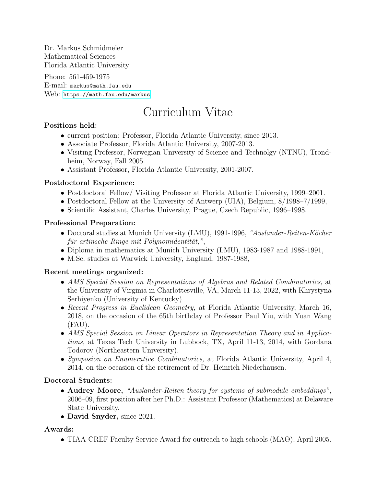Dr. Markus Schmidmeier Mathematical Sciences Florida Atlantic University

Phone: 561-459-1975 E-mail: markus@math.fau.edu Web: <https://math.fau.edu/markus>

# Curriculum Vitae

## Positions held:

- current position: Professor, Florida Atlantic University, since 2013.
- Associate Professor, Florida Atlantic University, 2007-2013.
- Visiting Professor, Norwegian University of Science and Technolgy (NTNU), Trondheim, Norway, Fall 2005.
- Assistant Professor, Florida Atlantic University, 2001-2007.

## Postdoctoral Experience:

- Postdoctoral Fellow/ Visiting Professor at Florida Atlantic University, 1999–2001.
- Postdoctoral Fellow at the University of Antwerp (UIA), Belgium, 8/1998–7/1999,
- Scientific Assistant, Charles University, Prague, Czech Republic, 1996–1998.

## Professional Preparation:

- Doctoral studies at Munich University (LMU), 1991-1996, "Auslander-Reiten-Köcher für artinsche Ringe mit Polynomidentität,",
- Diploma in mathematics at Munich University (LMU), 1983-1987 and 1988-1991,
- M.Sc. studies at Warwick University, England, 1987-1988,

## Recent meetings organized:

- AMS Special Session on Representations of Algebras and Related Combinatorics, at the University of Virginia in Charlottesville, VA, March 11-13, 2022, with Khrystyna Serhiyenko (University of Kentucky).
- Recent Progress in Euclidean Geometry, at Florida Atlantic University, March 16, 2018, on the occasion of the 65th birthday of Professor Paul Yiu, with Yuan Wang (FAU).
- AMS Special Session on Linear Operators in Representation Theory and in Applications, at Texas Tech University in Lubbock, TX, April 11-13, 2014, with Gordana Todorov (Northeastern University).
- Symposion on Enumerative Combinatorics, at Florida Atlantic University, April 4, 2014, on the occasion of the retirement of Dr. Heinrich Niederhausen.

## Doctoral Students:

- Audrey Moore, "Auslander-Reiten theory for systems of submodule embeddings", 2006–09, first position after her Ph.D.: Assistant Professor (Mathematics) at Delaware State University.
- David Snyder, since 2021.

## Awards:

• TIAA-CREF Faculty Service Award for outreach to high schools (MAΘ), April 2005.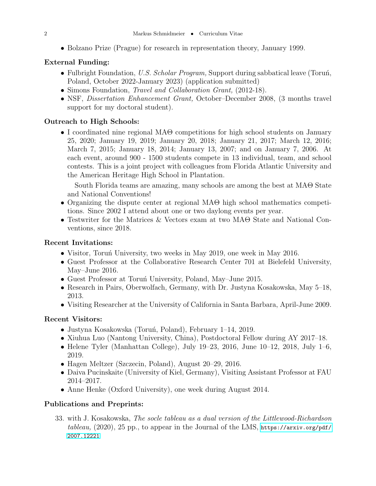• Bolzano Prize (Prague) for research in representation theory, January 1999.

### External Funding:

- Fulbright Foundation, U.S. Scholar Program, Support during sabbatical leave (Toruń, Poland, October 2022-January 2023) (application submitted)
- Simons Foundation, *Travel and Collaboration Grant*, (2012-18).
- NSF, *Dissertation Enhancement Grant*, October–December 2008, (3 months travel support for my doctoral student).

### Outreach to High Schools:

• I coordinated nine regional MAΘ competitions for high school students on January 25, 2020; January 19, 2019; January 20, 2018; January 21, 2017; March 12, 2016; March 7, 2015; January 18, 2014; January 13, 2007; and on January 7, 2006. At each event, around 900 - 1500 students compete in 13 individual, team, and school contests. This is a joint project with colleagues from Florida Atlantic University and the American Heritage High School in Plantation.

South Florida teams are amazing, many schools are among the best at MAΘ State and National Conventions!

- Organizing the dispute center at regional MAΘ high school mathematics competitions. Since 2002 I attend about one or two daylong events per year.
- Testwriter for the Matrices & Vectors exam at two MAΘ State and National Conventions, since 2018.

#### Recent Invitations:

- Visitor, Torun<sup>í</sup> University, two weeks in May 2019, one week in May 2016.
- Guest Professor at the Collaborative Research Center 701 at Bielefeld University, May–June 2016.
- Guest Professor at Toruń University, Poland, May–June 2015.
- Research in Pairs, Oberwolfach, Germany, with Dr. Justyna Kosakowska, May 5–18, 2013.
- Visiting Researcher at the University of California in Santa Barbara, April-June 2009.

### Recent Visitors:

- Justyna Kosakowska (Toruń, Poland), February 1–14, 2019.
- Xiuhua Luo (Nantong University, China), Postdoctoral Fellow during AY 2017–18.
- Helene Tyler (Manhattan College), July 19–23, 2016, June 10–12, 2018, July 1–6, 2019.
- Hagen Meltzer (Szczecin, Poland), August 20–29, 2016.
- Daiva Pucinskaite (University of Kiel, Germany), Visiting Assistant Professor at FAU 2014–2017.
- Anne Henke (Oxford University), one week during August 2014.

### Publications and Preprints:

33. with J. Kosakowska, The socle tableau as a dual version of the Littlewood-Richardson tableau,  $(2020)$ ,  $25$  pp., to appear in the Journal of the LMS, [https://arxiv.org/pdf/](https://arxiv.org/pdf/2007.12221) [2007.12221](https://arxiv.org/pdf/2007.12221)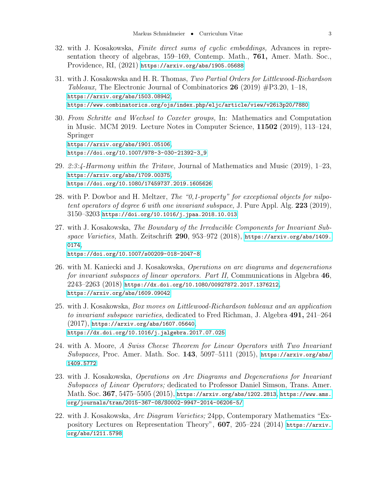- 32. with J. Kosakowska, Finite direct sums of cyclic embeddings, Advances in representation theory of algebras, 159–169, Contemp. Math., 761, Amer. Math. Soc., Providence, RI, (2021) <https://arxiv.org/abs/1905.05688>
- 31. with J. Kosakowska and H. R. Thomas, Two Partial Orders for Littlewood-Richardson Tableaux, The Electronic Journal of Combinatorics  $26$  (2019)  $\#P3.20$ , 1–18, <https://arxiv.org/abs/1503.08942>, <https://www.combinatorics.org/ojs/index.php/eljc/article/view/v26i3p20/7880>
- 30. From Schritte and Wechsel to Coxeter groups, In: Mathematics and Computation in Music. MCM 2019. Lecture Notes in Computer Science, 11502 (2019), 113–124, Springer <https://arxiv.org/abs/1901.05106>, [https://doi.org/10.1007/978-3-030-21392-3\\_9](https://doi.org/10.1007/978-3-030-21392-3_9)
- 29. 2:3:4-Harmony within the Tritave, Journal of Mathematics and Music  $(2019)$ , 1–23, <https://arxiv.org/abs/1709.00375>, <https://doi.org/10.1080/17459737.2019.1605626>
- 28. with P. Dowbor and H. Meltzer, *The "0,1-property" for exceptional objects for nilpo*tent operators of degree 6 with one invariant subspace, J. Pure Appl. Alg.  $223$  (2019),  $3150 - 3203$  <https://doi.org/10.1016/j.jpaa.2018.10.013>
- 27. with J. Kosakowska, The Boundary of the Irreducible Components for Invariant Subspace Varieties, Math. Zeitschrift  $290, 953-972$  (2018), [https://arxiv.org/abs/1409.](https://arxiv.org/abs/1409.0174) [0174](https://arxiv.org/abs/1409.0174), <https://doi.org/10.1007/s00209-018-2047-8>
- 26. with M. Kaniecki and J. Kosakowska, Operations on arc diagrams and degenerations for invariant subspaces of linear operators. Part II, Communications in Algebra 46, 2243–2263 (2018) <https://dx.doi.org/10.1080/00927872.2017.1376212>, <https://arxiv.org/abs/1609.09042>
- 25. with J. Kosakowska, Box moves on Littlewood-Richardson tableaux and an application to invariant subspace varieties, dedicated to Fred Richman, J. Algebra 491, 241–264  $(2017)$ , <https://arxiv.org/abs/1607.05640>, <https://dx.doi.org/10.1016/j.jalgebra.2017.07.025>
- 24. with A. Moore, A Swiss Cheese Theorem for Linear Operators with Two Invariant Subspaces, Proc. Amer. Math. Soc. 143, 5097-5111 (2015), [https://arxiv.org/abs/](https://arxiv.org/abs/1409.5772) [1409.5772](https://arxiv.org/abs/1409.5772)
- 23. with J. Kosakowska, Operations on Arc Diagrams and Degenerations for Invariant Subspaces of Linear Operators; dedicated to Professor Daniel Simson, Trans. Amer.  $\rm Math.\, Soc.\, 367, \, 5475\text{--}5505 \,(2015), \, \text{https://arxiv.org/abs/1202.2813, \, \text{https://www.ams.}}$  $\rm Math.\, Soc.\, 367, \, 5475\text{--}5505 \,(2015), \, \text{https://arxiv.org/abs/1202.2813, \, \text{https://www.ams.}}$  $\rm Math.\, Soc.\, 367, \, 5475\text{--}5505 \,(2015), \, \text{https://arxiv.org/abs/1202.2813, \, \text{https://www.ams.}}$  $\rm Math.\, Soc.\, 367, \, 5475\text{--}5505 \,(2015), \, \text{https://arxiv.org/abs/1202.2813, \, \text{https://www.ams.}}$  $\rm Math.\, Soc.\, 367, \, 5475\text{--}5505 \,(2015), \, \text{https://arxiv.org/abs/1202.2813, \, \text{https://www.ams.}}$ [org/journals/tran/2015-367-08/S0002-9947-2014-06206-5/](https://www.ams.org/journals/tran/2015-367-08/S0002-9947-2014-06206-5/)
- 22. with J. Kosakowska, Arc Diagram Varieties; 24pp, Contemporary Mathematics "Expository Lectures on Representation Theory", 607, 205–224 (2014) [https://arxiv.](https://arxiv.org/abs/1211.5798) [org/abs/1211.5798](https://arxiv.org/abs/1211.5798)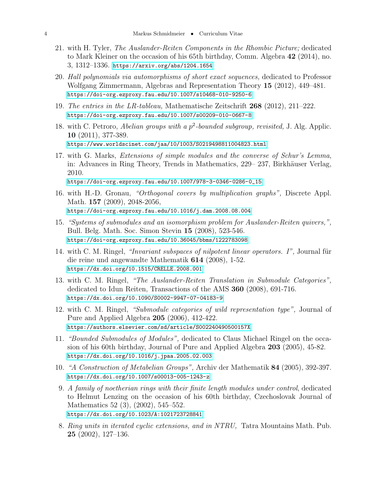- 21. with H. Tyler, The Auslander-Reiten Components in the Rhombic Picture; dedicated to Mark Kleiner on the occasion of his 65th birthday, Comm. Algebra 42 (2014), no. 3, 1312–1336. <https://arxiv.org/abs/1204.1654>
- 20. Hall polynomials via automorphisms of short exact sequences, dedicated to Professor Wolfgang Zimmermann, Algebras and Representation Theory 15 (2012), 449–481. <https://doi-org.ezproxy.fau.edu/10.1007/s10468-010-9250-6>
- 19. The entries in the LR-tableau, Mathematische Zeitschrift 268 (2012), 211–222. <https://doi-org.ezproxy.fau.edu/10.1007/s00209-010-0667-8>
- 18. with C. Petroro, *Abelian groups with a p*<sup>2</sup>-bounded subgroup, revisited, J. Alg. Applic. 10 (2011), 377-389. <https://www.worldscinet.com/jaa/10/1003/S0219498811004823.html>
- 17. with G. Marks, Extensions of simple modules and the converse of Schur's Lemma, in: Advances in Ring Theory, Trends in Mathematics, 229– 237, Birkhäuser Verlag, 2010.

[https://doi-org.ezproxy.fau.edu/10.1007/978-3-0346-0286-0\\_15](https://doi-org.ezproxy.fau.edu/10.1007/978-3-0346-0286-0_15)

- 16. with H.-D. Gronau, "Orthogonal covers by multiplication graphs", Discrete Appl. Math. 157 (2009), 2048-2056, <https://doi-org.ezproxy.fau.edu/10.1016/j.dam.2008.08.004>
- 15. "Systems of submodules and an isomorphism problem for Auslander-Reiten quivers,", Bull. Belg. Math. Soc. Simon Stevin 15 (2008), 523-546. <https://doi-org.ezproxy.fau.edu/10.36045/bbms/1222783098>
- 14. with C. M. Ringel, "*Invariant subspaces of nilpotent linear operators. I*", Journal für die reine und angewandte Mathematik 614 (2008), 1-52. <https://dx.doi.org/10.1515/CRELLE.2008.001>
- 13. with C. M. Ringel, "The Auslander-Reiten Translation in Submodule Categories", dedicated to Idun Reiten, Transactions of the AMS 360 (2008), 691-716. <https://dx.doi.org/10.1090/S0002-9947-07-04183-9>
- 12. with C. M. Ringel, "Submodule categories of wild representation type", Journal of Pure and Applied Algebra 205 (2006), 412-422. <https://authors.elsevier.com/sd/article/S002240490500157X>
- 11. "Bounded Submodules of Modules", dedicated to Claus Michael Ringel on the occasion of his 60th birthday, Journal of Pure and Applied Algebra 203 (2005), 45-82. <https://dx.doi.org/10.1016/j.jpaa.2005.02.003>
- 10. "A Construction of Metabelian Groups", Archiv der Mathematik 84 (2005), 392-397. <https://dx.doi.org/10.1007/s00013-005-1243-z>
- 9. A family of noetherian rings with their finite length modules under control, dedicated to Helmut Lenzing on the occasion of his 60th birthday, Czechoslovak Journal of Mathematics 52 (3), (2002), 545–552. <https://dx.doi.org/10.1023/A:1021723728841>
- 8. Ring units in iterated cyclic extensions, and in NTRU, Tatra Mountains Math. Pub. 25 (2002), 127–136.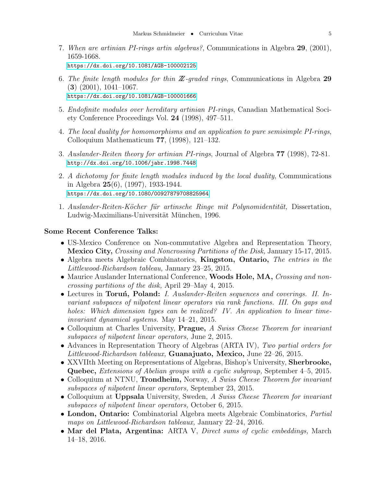- 7. When are artinian PI-rings artin algebras?, Communications in Algebra 29, (2001), 1659-1668. <https://dx.doi.org/10.1081/AGB-100002125>
- 6. The finite length modules for thin  $\mathbb{Z}$ -graded rings, Communications in Algebra 29 (3) (2001), 1041–1067. <https://dx.doi.org/10.1081/AGB-100001666>
- 5. Endofinite modules over hereditary artinian PI-rings, Canadian Mathematical Society Conference Proceedings Vol. 24 (1998), 497–511.
- 4. The local duality for homomorphisms and an application to pure semisimple PI-rings, Colloquium Mathematicum 77, (1998), 121–132.
- 3. Auslander-Reiten theory for artinian PI-rings, Journal of Algebra 77 (1998), 72-81. <http://dx.doi.org/10.1006/jabr.1998.7448>
- 2. A dichotomy for finite length modules induced by the local duality, Communications in Algebra 25(6), (1997), 1933-1944. <https://dx.doi.org/10.1080/00927879708825964>
- 1. Auslander-Reiten-Köcher für artinsche Ringe mit Polynomidentität, Dissertation, Ludwig-Maximilians-Universität München, 1996.

#### Some Recent Conference Talks:

- US-Mexico Conference on Non-commutative Algebra and Representation Theory, Mexico City, Crossing and Noncrossing Partitions of the Disk, January 15-17, 2015.
- Algebra meets Algebraic Combinatorics, Kingston, Ontario, The entries in the Littlewood-Richardson tableau, January 23–25, 2015.
- Maurice Auslander International Conference, Woods Hole, MA, Crossing and noncrossing partitions of the disk, April 29–May 4, 2015.
- Lectures in Toruń, Poland: I. Auslander-Reiten sequences and coverings. II. Invariant subspaces of nilpotent linear operators via rank functions. III. On gaps and holes: Which dimension types can be realized? IV. An application to linear timeinvariant dynamical systems. May 14–21, 2015.
- Colloquium at Charles University, **Prague,** A Swiss Cheese Theorem for invariant subspaces of nilpotent linear operators, June 2, 2015.
- Advances in Representation Theory of Algebras (ARTA IV), Two partial orders for Littlewood-Richardson tableaux, Guanajuato, Mexico, June 22–26, 2015.
- XXVIIth Meeting on Representations of Algebras, Bishop's University, **Sherbrooke**, Quebec, *Extensions of Abelian groups with a cyclic subgroup*, September 4–5, 2015.
- Colloquium at NTNU, **Trondheim**, Norway, A Swiss Cheese Theorem for invariant subspaces of nilpotent linear operators, September 23, 2015.
- Colloquium at Uppsala University, Sweden, A Swiss Cheese Theorem for invariant subspaces of nilpotent linear operators, October 6, 2015.
- London, Ontario: Combinatorial Algebra meets Algebraic Combinatorics, Partial maps on Littlewood-Richardson tableaux, January 22–24, 2016.
- Mar del Plata, Argentina: ARTA V, *Direct sums of cyclic embeddings*, March 14–18, 2016.